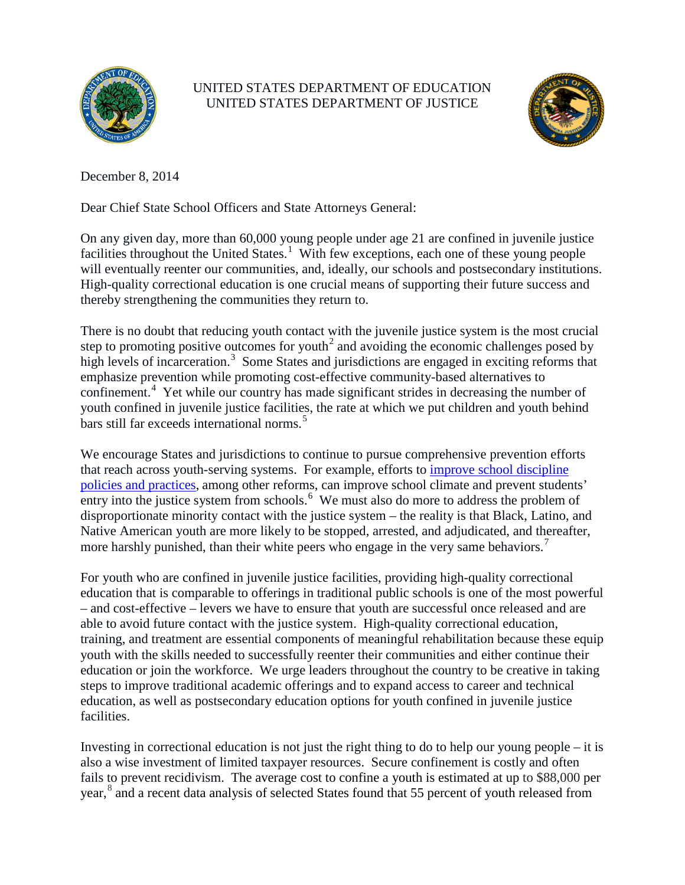

## UNITED STATES DEPARTMENT OF EDUCATION UNITED STATES DEPARTMENT OF JUSTICE



December 8, 2014

Dear Chief State School Officers and State Attorneys General:

On any given day, more than 60,000 young people under age 21 are confined in juvenile justice facilities throughout the United States.<sup>[1](#page-2-0)</sup> With few exceptions, each one of these young people will eventually reenter our communities, and, ideally, our schools and postsecondary institutions. High-quality correctional education is one crucial means of supporting their future success and thereby strengthening the communities they return to.

There is no doubt that reducing youth contact with the juvenile justice system is the most crucial step to promoting positive outcomes for youth<sup>[2](#page-2-1)</sup> and avoiding the economic challenges posed by high levels of incarceration.<sup>[3](#page-2-2)</sup> Some States and jurisdictions are engaged in exciting reforms that emphasize prevention while promoting cost-effective community-based alternatives to confinement.<sup>[4](#page-2-3)</sup> Yet while our country has made significant strides in decreasing the number of youth confined in juvenile justice facilities, the rate at which we put children and youth behind bars still far exceeds international norms.<sup>[5](#page-2-4)</sup>

We encourage States and jurisdictions to continue to pursue comprehensive prevention efforts that reach across youth-serving systems. For example, efforts to improve [school discipline](http://www2.ed.gov/policy/gen/guid/school-discipline/index.html)  [policies and practices,](http://www2.ed.gov/policy/gen/guid/school-discipline/index.html) among other reforms, can improve school climate and prevent students' entry into the justice system from schools.<sup>[6](#page-2-5)</sup> We must also do more to address the problem of disproportionate minority contact with the justice system – the reality is that Black, Latino, and Native American youth are more likely to be stopped, arrested, and adjudicated, and thereafter, more harshly punished, than their white peers who engage in the very same behaviors.<sup>[7](#page-2-6)</sup>

For youth who are confined in juvenile justice facilities, providing high-quality correctional education that is comparable to offerings in traditional public schools is one of the most powerful – and cost-effective – levers we have to ensure that youth are successful once released and are able to avoid future contact with the justice system. High-quality correctional education, training, and treatment are essential components of meaningful rehabilitation because these equip youth with the skills needed to successfully reenter their communities and either continue their education or join the workforce. We urge leaders throughout the country to be creative in taking steps to improve traditional academic offerings and to expand access to career and technical education, as well as postsecondary education options for youth confined in juvenile justice facilities.

Investing in correctional education is not just the right thing to do to help our young people – it is also a wise investment of limited taxpayer resources. Secure confinement is costly and often fails to prevent recidivism. The average cost to confine a youth is estimated at up to \$88,000 per year, [8](#page-2-7) and a recent data analysis of selected States found that 55 percent of youth released from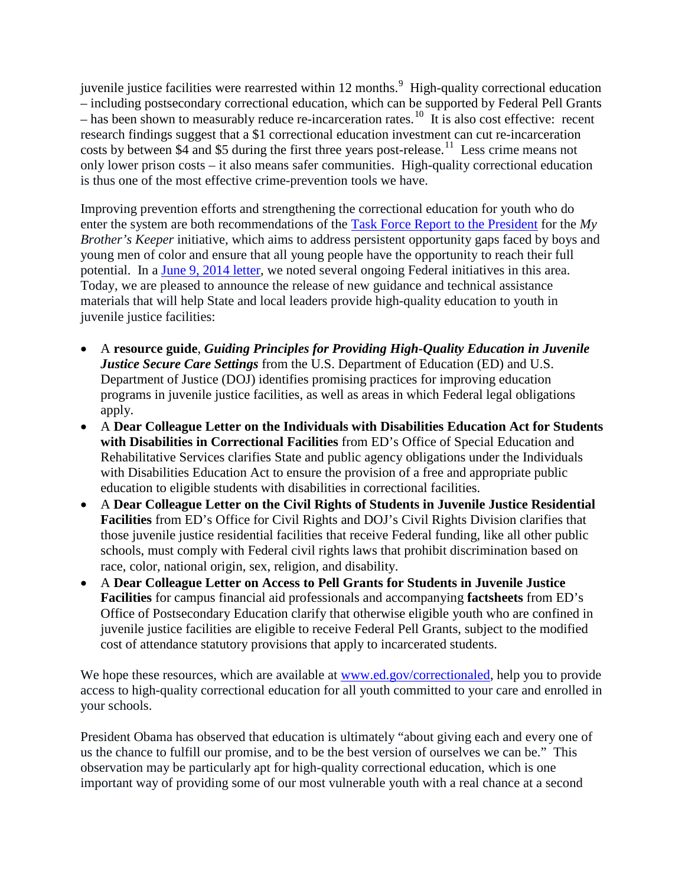juvenile justice facilities were rearrested within 12 months.<sup>[9](#page-2-8)</sup> High-quality correctional education – including postsecondary correctional education, which can be supported by Federal Pell Grants – has been shown to measurably reduce re-incarceration rates.<sup>10</sup> It is also cost effective: recent research findings suggest that a \$1 correctional education investment can cut re-incarceration costs by between \$4 and \$5 during the first three years post-release.<sup>11</sup> Less crime means not only lower prison costs – it also means safer communities. High-quality correctional education is thus one of the most effective crime-prevention tools we have.

Improving prevention efforts and strengthening the correctional education for youth who do enter the system are both recommendations of the [Task Force Report to the President](http://www.whitehouse.gov/sites/default/files/docs/053014_mbk_report.pdf) for the *My Brother's Keeper* initiative, which aims to address persistent opportunity gaps faced by boys and young men of color and ensure that all young people have the opportunity to reach their full potential. In a [June 9, 2014 letter,](http://www.ed.gov/blog/wp-content/uploads/2014/06/doj-dod-ltr.pdf) we noted several ongoing Federal initiatives in this area. Today, we are pleased to announce the release of new guidance and technical assistance materials that will help State and local leaders provide high-quality education to youth in juvenile justice facilities:

- A **resource guide**, *Guiding Principles for Providing High-Quality Education in Juvenile Justice Secure Care Settings* from the U.S. Department of Education (ED) and U.S. Department of Justice (DOJ) identifies promising practices for improving education programs in juvenile justice facilities, as well as areas in which Federal legal obligations apply.
- A **Dear Colleague Letter on the Individuals with Disabilities Education Act for Students with Disabilities in Correctional Facilities** from ED's Office of Special Education and Rehabilitative Services clarifies State and public agency obligations under the Individuals with Disabilities Education Act to ensure the provision of a free and appropriate public education to eligible students with disabilities in correctional facilities.
- A **Dear Colleague Letter on the Civil Rights of Students in Juvenile Justice Residential Facilities** from ED's Office for Civil Rights and DOJ's Civil Rights Division clarifies that those juvenile justice residential facilities that receive Federal funding, like all other public schools, must comply with Federal civil rights laws that prohibit discrimination based on race, color, national origin, sex, religion, and disability.
- A **Dear Colleague Letter on Access to Pell Grants for Students in Juvenile Justice Facilities** for campus financial aid professionals and accompanying **factsheets** from ED's Office of Postsecondary Education clarify that otherwise eligible youth who are confined in juvenile justice facilities are eligible to receive Federal Pell Grants, subject to the modified cost of attendance statutory provisions that apply to incarcerated students.

We hope these resources, which are available at [www.ed.gov/correctionaled,](http://www.ed.gov/correctionaled) help you to provide access to high-quality correctional education for all youth committed to your care and enrolled in your schools.

President Obama has observed that education is ultimately "about giving each and every one of us the chance to fulfill our promise, and to be the best version of ourselves we can be." This observation may be particularly apt for high-quality correctional education, which is one important way of providing some of our most vulnerable youth with a real chance at a second